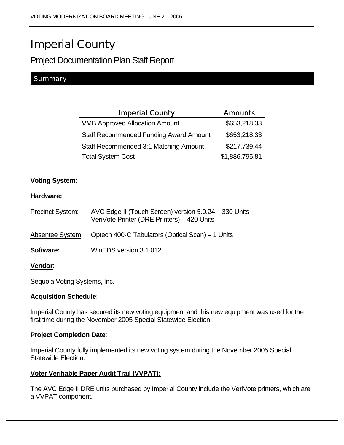# Imperial County

Project Documentation Plan Staff Report

## **Summary**

| <b>Imperial County</b>                        | <b>Amounts</b> |
|-----------------------------------------------|----------------|
| <b>VMB Approved Allocation Amount</b>         | \$653,218.33   |
| <b>Staff Recommended Funding Award Amount</b> | \$653,218.33   |
| Staff Recommended 3:1 Matching Amount         | \$217,739.44   |
| <b>Total System Cost</b>                      | \$1,886,795.81 |

## **Voting System**:

#### **Hardware:**

| <b>Precinct System:</b> | AVC Edge II (Touch Screen) version 5.0.24 - 330 Units<br>VeriVote Printer (DRE Printers) - 420 Units |
|-------------------------|------------------------------------------------------------------------------------------------------|
| Absentee System:        | Optech 400-C Tabulators (Optical Scan) – 1 Units                                                     |
| <b>Software:</b>        | WinEDS version 3.1.012                                                                               |
| <b>Vendor</b> :         |                                                                                                      |

Sequoia Voting Systems, Inc.

#### **Acquisition Schedule**:

Imperial County has secured its new voting equipment and this new equipment was used for the first time during the November 2005 Special Statewide Election.

#### **Project Completion Date**:

Imperial County fully implemented its new voting system during the November 2005 Special Statewide Election.

## **Voter Verifiable Paper Audit Trail (VVPAT):**

The AVC Edge II DRE units purchased by Imperial County include the VeriVote printers, which are a VVPAT component.